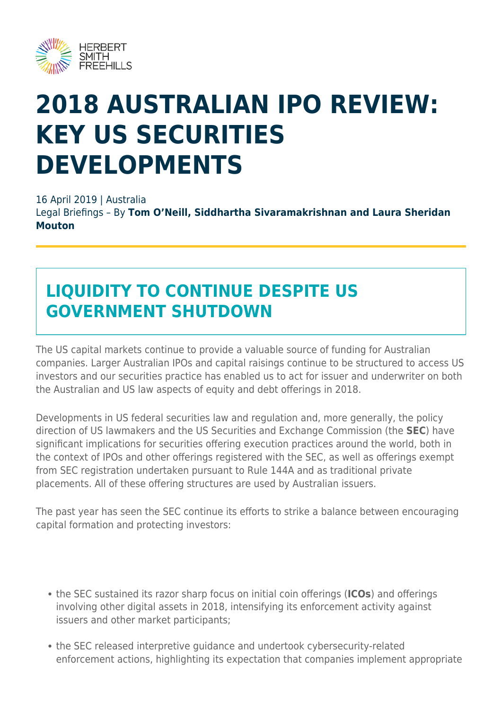

# **2018 AUSTRALIAN IPO REVIEW: KEY US SECURITIES DEVELOPMENTS**

16 April 2019 | Australia

Legal Briefings – By **Tom O'Neill, Siddhartha Sivaramakrishnan and Laura Sheridan Mouton**

# **LIQUIDITY TO CONTINUE DESPITE US GOVERNMENT SHUTDOWN**

The US capital markets continue to provide a valuable source of funding for Australian companies. Larger Australian IPOs and capital raisings continue to be structured to access US investors and our securities practice has enabled us to act for issuer and underwriter on both the Australian and US law aspects of equity and debt offerings in 2018.

Developments in US federal securities law and regulation and, more generally, the policy direction of US lawmakers and the US Securities and Exchange Commission (the **SEC**) have significant implications for securities offering execution practices around the world, both in the context of IPOs and other offerings registered with the SEC, as well as offerings exempt from SEC registration undertaken pursuant to Rule 144A and as traditional private placements. All of these offering structures are used by Australian issuers.

The past year has seen the SEC continue its efforts to strike a balance between encouraging capital formation and protecting investors:

- the SEC sustained its razor sharp focus on initial coin offerings (**ICOs**) and offerings involving other digital assets in 2018, intensifying its enforcement activity against issuers and other market participants;
- the SEC released interpretive guidance and undertook cybersecurity-related enforcement actions, highlighting its expectation that companies implement appropriate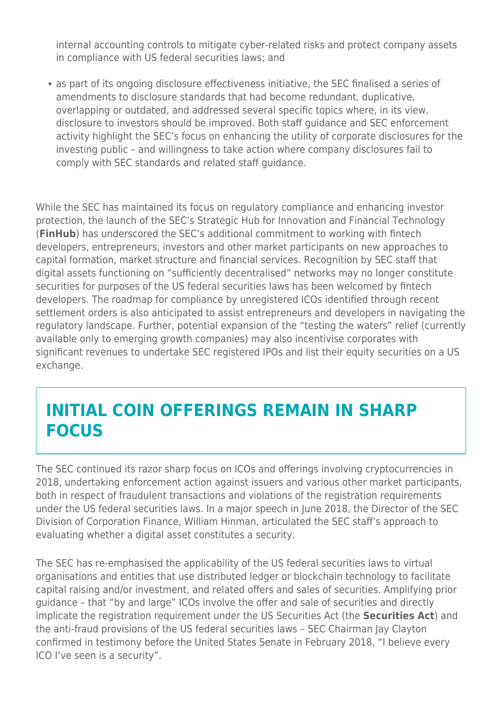internal accounting controls to mitigate cyber-related risks and protect company assets in compliance with US federal securities laws; and

as part of its ongoing disclosure effectiveness initiative, the SEC finalised a series of amendments to disclosure standards that had become redundant, duplicative, overlapping or outdated, and addressed several specific topics where, in its view, disclosure to investors should be improved. Both staff guidance and SEC enforcement activity highlight the SEC's focus on enhancing the utility of corporate disclosures for the investing public – and willingness to take action where company disclosures fail to comply with SEC standards and related staff guidance.

While the SEC has maintained its focus on regulatory compliance and enhancing investor protection, the launch of the SEC's Strategic Hub for Innovation and Financial Technology (**FinHub**) has underscored the SEC's additional commitment to working with fintech developers, entrepreneurs, investors and other market participants on new approaches to capital formation, market structure and financial services. Recognition by SEC staff that digital assets functioning on "sufficiently decentralised" networks may no longer constitute securities for purposes of the US federal securities laws has been welcomed by fintech developers. The roadmap for compliance by unregistered ICOs identified through recent settlement orders is also anticipated to assist entrepreneurs and developers in navigating the regulatory landscape. Further, potential expansion of the "testing the waters" relief (currently available only to emerging growth companies) may also incentivise corporates with significant revenues to undertake SEC registered IPOs and list their equity securities on a US exchange.

### **INITIAL COIN OFFERINGS REMAIN IN SHARP FOCUS**

The SEC continued its razor sharp focus on ICOs and offerings involving cryptocurrencies in 2018, undertaking enforcement action against issuers and various other market participants, both in respect of fraudulent transactions and violations of the registration requirements under the US federal securities laws. In a major speech in June 2018, the Director of the SEC Division of Corporation Finance, William Hinman, articulated the SEC staff's approach to evaluating whether a digital asset constitutes a security.

The SEC has re-emphasised the applicability of the US federal securities laws to virtual organisations and entities that use distributed ledger or blockchain technology to facilitate capital raising and/or investment, and related offers and sales of securities. Amplifying prior guidance – that "by and large" ICOs involve the offer and sale of securities and directly implicate the registration requirement under the US Securities Act (the **Securities Act**) and the anti-fraud provisions of the US federal securities laws – SEC Chairman Jay Clayton confirmed in testimony before the United States Senate in February 2018, "I believe every ICO I've seen is a security".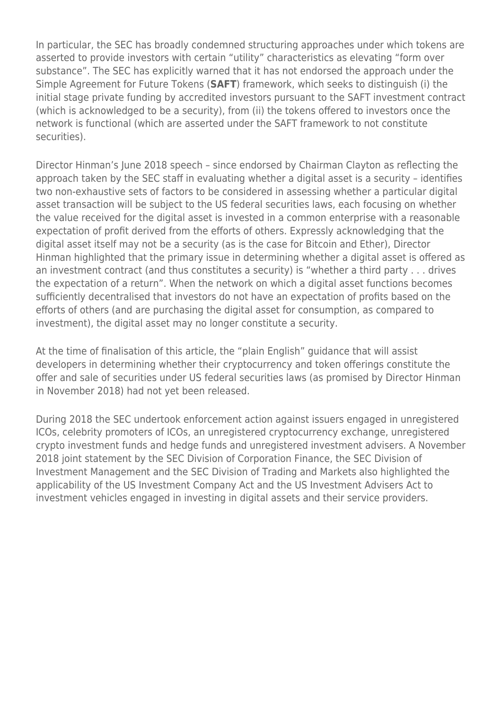In particular, the SEC has broadly condemned structuring approaches under which tokens are asserted to provide investors with certain "utility" characteristics as elevating "form over substance". The SEC has explicitly warned that it has not endorsed the approach under the Simple Agreement for Future Tokens (**SAFT**) framework, which seeks to distinguish (i) the initial stage private funding by accredited investors pursuant to the SAFT investment contract (which is acknowledged to be a security), from (ii) the tokens offered to investors once the network is functional (which are asserted under the SAFT framework to not constitute securities).

Director Hinman's June 2018 speech – since endorsed by Chairman Clayton as reflecting the approach taken by the SEC staff in evaluating whether a digital asset is a security – identifies two non-exhaustive sets of factors to be considered in assessing whether a particular digital asset transaction will be subject to the US federal securities laws, each focusing on whether the value received for the digital asset is invested in a common enterprise with a reasonable expectation of profit derived from the efforts of others. Expressly acknowledging that the digital asset itself may not be a security (as is the case for Bitcoin and Ether), Director Hinman highlighted that the primary issue in determining whether a digital asset is offered as an investment contract (and thus constitutes a security) is "whether a third party . . . drives the expectation of a return". When the network on which a digital asset functions becomes sufficiently decentralised that investors do not have an expectation of profits based on the efforts of others (and are purchasing the digital asset for consumption, as compared to investment), the digital asset may no longer constitute a security.

At the time of finalisation of this article, the "plain English" guidance that will assist developers in determining whether their cryptocurrency and token offerings constitute the offer and sale of securities under US federal securities laws (as promised by Director Hinman in November 2018) had not yet been released.

During 2018 the SEC undertook enforcement action against issuers engaged in unregistered ICOs, celebrity promoters of ICOs, an unregistered cryptocurrency exchange, unregistered crypto investment funds and hedge funds and unregistered investment advisers. A November 2018 joint statement by the SEC Division of Corporation Finance, the SEC Division of Investment Management and the SEC Division of Trading and Markets also highlighted the applicability of the US Investment Company Act and the US Investment Advisers Act to investment vehicles engaged in investing in digital assets and their service providers.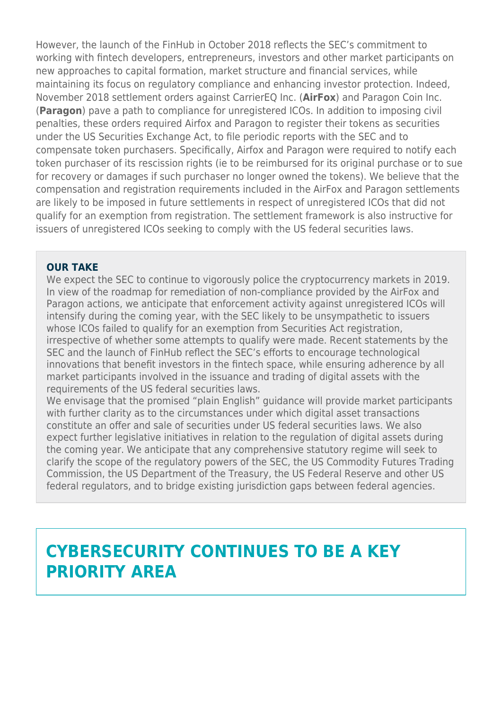However, the launch of the FinHub in October 2018 reflects the SEC's commitment to working with fintech developers, entrepreneurs, investors and other market participants on new approaches to capital formation, market structure and financial services, while maintaining its focus on regulatory compliance and enhancing investor protection. Indeed, November 2018 settlement orders against CarrierEQ Inc. (**AirFox**) and Paragon Coin Inc. (**Paragon**) pave a path to compliance for unregistered ICOs. In addition to imposing civil penalties, these orders required Airfox and Paragon to register their tokens as securities under the US Securities Exchange Act, to file periodic reports with the SEC and to compensate token purchasers. Specifically, Airfox and Paragon were required to notify each token purchaser of its rescission rights (ie to be reimbursed for its original purchase or to sue for recovery or damages if such purchaser no longer owned the tokens). We believe that the compensation and registration requirements included in the AirFox and Paragon settlements are likely to be imposed in future settlements in respect of unregistered ICOs that did not qualify for an exemption from registration. The settlement framework is also instructive for issuers of unregistered ICOs seeking to comply with the US federal securities laws.

#### **OUR TAKE**

We expect the SEC to continue to vigorously police the cryptocurrency markets in 2019. In view of the roadmap for remediation of non-compliance provided by the AirFox and Paragon actions, we anticipate that enforcement activity against unregistered ICOs will intensify during the coming year, with the SEC likely to be unsympathetic to issuers whose ICOs failed to qualify for an exemption from Securities Act registration, irrespective of whether some attempts to qualify were made. Recent statements by the SEC and the launch of FinHub reflect the SEC's efforts to encourage technological innovations that benefit investors in the fintech space, while ensuring adherence by all market participants involved in the issuance and trading of digital assets with the requirements of the US federal securities laws.

We envisage that the promised "plain English" guidance will provide market participants with further clarity as to the circumstances under which digital asset transactions constitute an offer and sale of securities under US federal securities laws. We also expect further legislative initiatives in relation to the regulation of digital assets during the coming year. We anticipate that any comprehensive statutory regime will seek to clarify the scope of the regulatory powers of the SEC, the US Commodity Futures Trading Commission, the US Department of the Treasury, the US Federal Reserve and other US federal regulators, and to bridge existing jurisdiction gaps between federal agencies.

### **CYBERSECURITY CONTINUES TO BE A KEY PRIORITY AREA**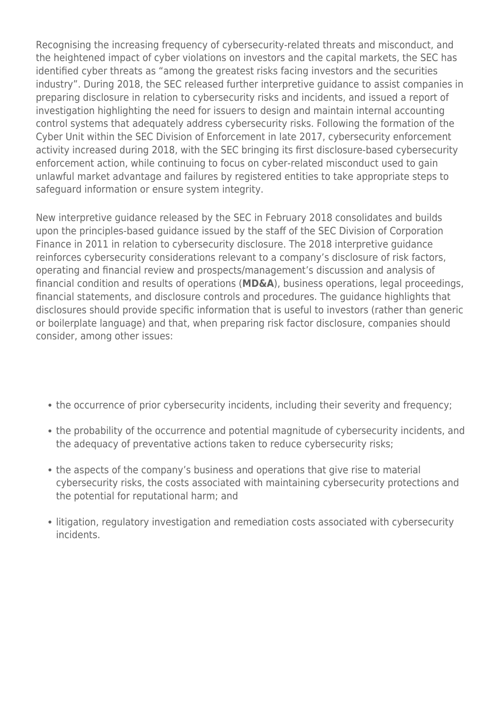Recognising the increasing frequency of cybersecurity-related threats and misconduct, and the heightened impact of cyber violations on investors and the capital markets, the SEC has identified cyber threats as "among the greatest risks facing investors and the securities industry". During 2018, the SEC released further interpretive guidance to assist companies in preparing disclosure in relation to cybersecurity risks and incidents, and issued a report of investigation highlighting the need for issuers to design and maintain internal accounting control systems that adequately address cybersecurity risks. Following the formation of the Cyber Unit within the SEC Division of Enforcement in late 2017, cybersecurity enforcement activity increased during 2018, with the SEC bringing its first disclosure-based cybersecurity enforcement action, while continuing to focus on cyber-related misconduct used to gain unlawful market advantage and failures by registered entities to take appropriate steps to safeguard information or ensure system integrity.

New interpretive guidance released by the SEC in February 2018 consolidates and builds upon the principles-based guidance issued by the staff of the SEC Division of Corporation Finance in 2011 in relation to cybersecurity disclosure. The 2018 interpretive guidance reinforces cybersecurity considerations relevant to a company's disclosure of risk factors, operating and financial review and prospects/management's discussion and analysis of financial condition and results of operations (**MD&A**), business operations, legal proceedings, financial statements, and disclosure controls and procedures. The guidance highlights that disclosures should provide specific information that is useful to investors (rather than generic or boilerplate language) and that, when preparing risk factor disclosure, companies should consider, among other issues:

- the occurrence of prior cybersecurity incidents, including their severity and frequency;
- the probability of the occurrence and potential magnitude of cybersecurity incidents, and the adequacy of preventative actions taken to reduce cybersecurity risks;
- the aspects of the company's business and operations that give rise to material cybersecurity risks, the costs associated with maintaining cybersecurity protections and the potential for reputational harm; and
- litigation, regulatory investigation and remediation costs associated with cybersecurity incidents.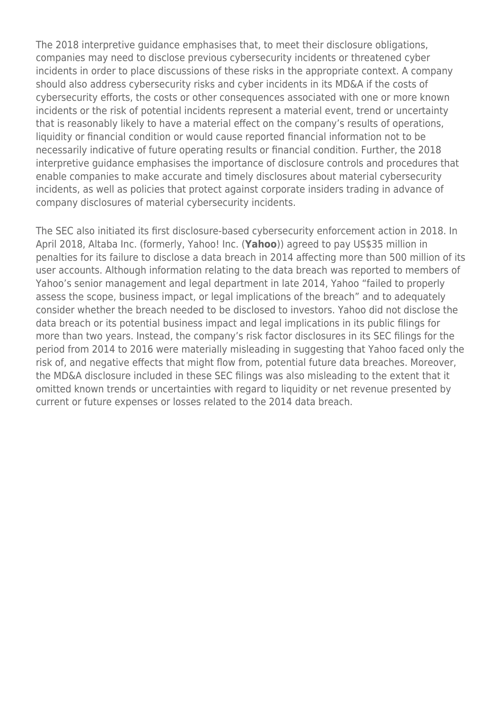The 2018 interpretive guidance emphasises that, to meet their disclosure obligations, companies may need to disclose previous cybersecurity incidents or threatened cyber incidents in order to place discussions of these risks in the appropriate context. A company should also address cybersecurity risks and cyber incidents in its MD&A if the costs of cybersecurity efforts, the costs or other consequences associated with one or more known incidents or the risk of potential incidents represent a material event, trend or uncertainty that is reasonably likely to have a material effect on the company's results of operations, liquidity or financial condition or would cause reported financial information not to be necessarily indicative of future operating results or financial condition. Further, the 2018 interpretive guidance emphasises the importance of disclosure controls and procedures that enable companies to make accurate and timely disclosures about material cybersecurity incidents, as well as policies that protect against corporate insiders trading in advance of company disclosures of material cybersecurity incidents.

The SEC also initiated its first disclosure-based cybersecurity enforcement action in 2018. In April 2018, Altaba Inc. (formerly, Yahoo! Inc. (**Yahoo**)) agreed to pay US\$35 million in penalties for its failure to disclose a data breach in 2014 affecting more than 500 million of its user accounts. Although information relating to the data breach was reported to members of Yahoo's senior management and legal department in late 2014, Yahoo "failed to properly assess the scope, business impact, or legal implications of the breach" and to adequately consider whether the breach needed to be disclosed to investors. Yahoo did not disclose the data breach or its potential business impact and legal implications in its public filings for more than two years. Instead, the company's risk factor disclosures in its SEC filings for the period from 2014 to 2016 were materially misleading in suggesting that Yahoo faced only the risk of, and negative effects that might flow from, potential future data breaches. Moreover, the MD&A disclosure included in these SEC filings was also misleading to the extent that it omitted known trends or uncertainties with regard to liquidity or net revenue presented by current or future expenses or losses related to the 2014 data breach.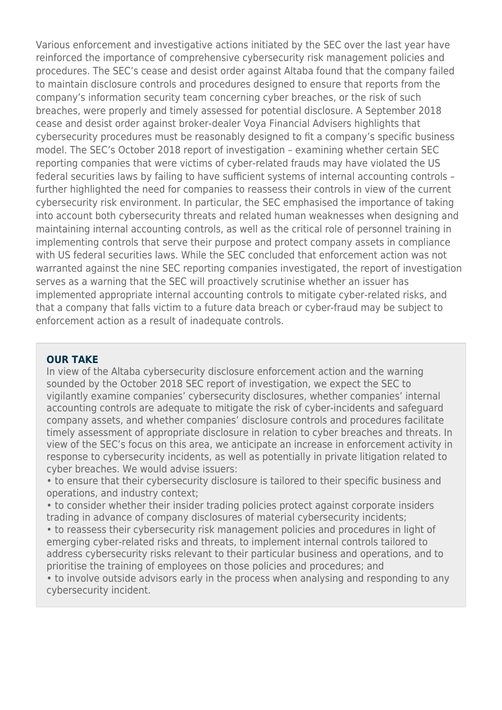Various enforcement and investigative actions initiated by the SEC over the last year have reinforced the importance of comprehensive cybersecurity risk management policies and procedures. The SEC's cease and desist order against Altaba found that the company failed to maintain disclosure controls and procedures designed to ensure that reports from the company's information security team concerning cyber breaches, or the risk of such breaches, were properly and timely assessed for potential disclosure. A September 2018 cease and desist order against broker-dealer Voya Financial Advisers highlights that cybersecurity procedures must be reasonably designed to fit a company's specific business model. The SEC's October 2018 report of investigation – examining whether certain SEC reporting companies that were victims of cyber-related frauds may have violated the US federal securities laws by failing to have sufficient systems of internal accounting controls – further highlighted the need for companies to reassess their controls in view of the current cybersecurity risk environment. In particular, the SEC emphasised the importance of taking into account both cybersecurity threats and related human weaknesses when designing and maintaining internal accounting controls, as well as the critical role of personnel training in implementing controls that serve their purpose and protect company assets in compliance with US federal securities laws. While the SEC concluded that enforcement action was not warranted against the nine SEC reporting companies investigated, the report of investigation serves as a warning that the SEC will proactively scrutinise whether an issuer has implemented appropriate internal accounting controls to mitigate cyber-related risks, and that a company that falls victim to a future data breach or cyber-fraud may be subject to enforcement action as a result of inadequate controls.

#### **OUR TAKE**

In view of the Altaba cybersecurity disclosure enforcement action and the warning sounded by the October 2018 SEC report of investigation, we expect the SEC to vigilantly examine companies' cybersecurity disclosures, whether companies' internal accounting controls are adequate to mitigate the risk of cyber-incidents and safeguard company assets, and whether companies' disclosure controls and procedures facilitate timely assessment of appropriate disclosure in relation to cyber breaches and threats. In view of the SEC's focus on this area, we anticipate an increase in enforcement activity in response to cybersecurity incidents, as well as potentially in private litigation related to cyber breaches. We would advise issuers:

• to ensure that their cybersecurity disclosure is tailored to their specific business and operations, and industry context;

• to consider whether their insider trading policies protect against corporate insiders trading in advance of company disclosures of material cybersecurity incidents;

• to reassess their cybersecurity risk management policies and procedures in light of emerging cyber-related risks and threats, to implement internal controls tailored to address cybersecurity risks relevant to their particular business and operations, and to prioritise the training of employees on those policies and procedures; and

• to involve outside advisors early in the process when analysing and responding to any cybersecurity incident.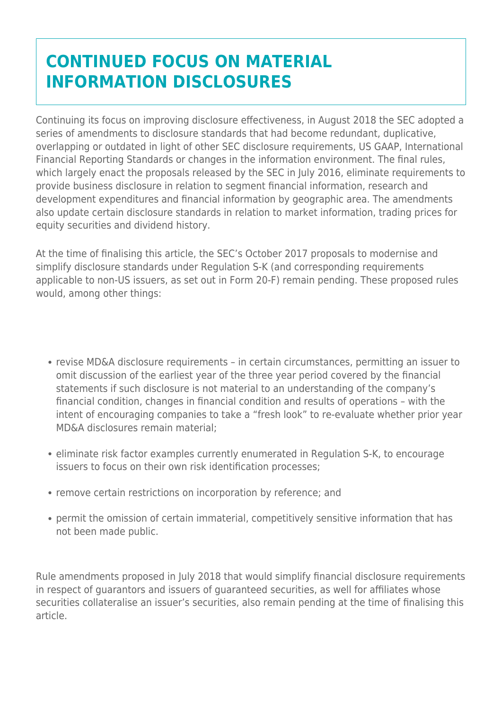## **CONTINUED FOCUS ON MATERIAL INFORMATION DISCLOSURES**

Continuing its focus on improving disclosure effectiveness, in August 2018 the SEC adopted a series of amendments to disclosure standards that had become redundant, duplicative, overlapping or outdated in light of other SEC disclosure requirements, US GAAP, International Financial Reporting Standards or changes in the information environment. The final rules, which largely enact the proposals released by the SEC in July 2016, eliminate requirements to provide business disclosure in relation to segment financial information, research and development expenditures and financial information by geographic area. The amendments also update certain disclosure standards in relation to market information, trading prices for equity securities and dividend history.

At the time of finalising this article, the SEC's October 2017 proposals to modernise and simplify disclosure standards under Regulation S-K (and corresponding requirements applicable to non-US issuers, as set out in Form 20-F) remain pending. These proposed rules would, among other things:

- revise MD&A disclosure requirements in certain circumstances, permitting an issuer to omit discussion of the earliest year of the three year period covered by the financial statements if such disclosure is not material to an understanding of the company's financial condition, changes in financial condition and results of operations – with the intent of encouraging companies to take a "fresh look" to re-evaluate whether prior year MD&A disclosures remain material;
- eliminate risk factor examples currently enumerated in Regulation S-K, to encourage issuers to focus on their own risk identification processes;
- remove certain restrictions on incorporation by reference; and
- permit the omission of certain immaterial, competitively sensitive information that has not been made public.

Rule amendments proposed in July 2018 that would simplify financial disclosure requirements in respect of guarantors and issuers of guaranteed securities, as well for affiliates whose securities collateralise an issuer's securities, also remain pending at the time of finalising this article.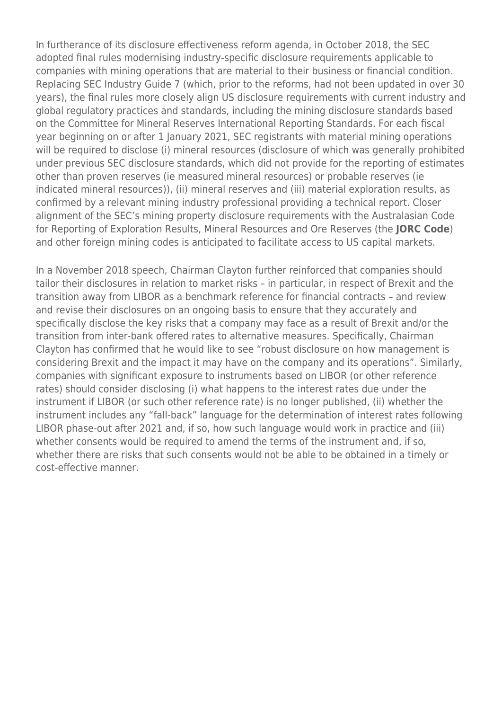In furtherance of its disclosure effectiveness reform agenda, in October 2018, the SEC adopted final rules modernising industry-specific disclosure requirements applicable to companies with mining operations that are material to their business or financial condition. Replacing SEC Industry Guide 7 (which, prior to the reforms, had not been updated in over 30 years), the final rules more closely align US disclosure requirements with current industry and global regulatory practices and standards, including the mining disclosure standards based on the Committee for Mineral Reserves International Reporting Standards. For each fiscal year beginning on or after 1 January 2021, SEC registrants with material mining operations will be required to disclose (i) mineral resources (disclosure of which was generally prohibited under previous SEC disclosure standards, which did not provide for the reporting of estimates other than proven reserves (ie measured mineral resources) or probable reserves (ie indicated mineral resources)), (ii) mineral reserves and (iii) material exploration results, as confirmed by a relevant mining industry professional providing a technical report. Closer alignment of the SEC's mining property disclosure requirements with the Australasian Code for Reporting of Exploration Results, Mineral Resources and Ore Reserves (the **JORC Code**) and other foreign mining codes is anticipated to facilitate access to US capital markets.

In a November 2018 speech, Chairman Clayton further reinforced that companies should tailor their disclosures in relation to market risks – in particular, in respect of Brexit and the transition away from LIBOR as a benchmark reference for financial contracts – and review and revise their disclosures on an ongoing basis to ensure that they accurately and specifically disclose the key risks that a company may face as a result of Brexit and/or the transition from inter-bank offered rates to alternative measures. Specifically, Chairman Clayton has confirmed that he would like to see "robust disclosure on how management is considering Brexit and the impact it may have on the company and its operations". Similarly, companies with significant exposure to instruments based on LIBOR (or other reference rates) should consider disclosing (i) what happens to the interest rates due under the instrument if LIBOR (or such other reference rate) is no longer published, (ii) whether the instrument includes any "fall-back" language for the determination of interest rates following LIBOR phase-out after 2021 and, if so, how such language would work in practice and (iii) whether consents would be required to amend the terms of the instrument and, if so, whether there are risks that such consents would not be able to be obtained in a timely or cost-effective manner.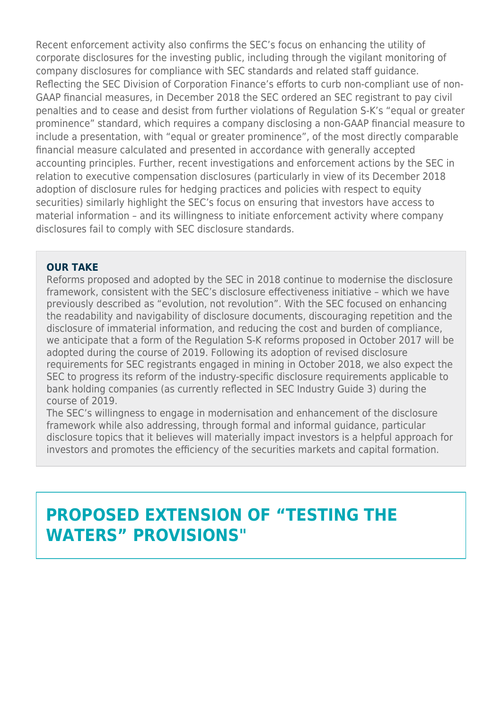Recent enforcement activity also confirms the SEC's focus on enhancing the utility of corporate disclosures for the investing public, including through the vigilant monitoring of company disclosures for compliance with SEC standards and related staff guidance. Reflecting the SEC Division of Corporation Finance's efforts to curb non-compliant use of non-GAAP financial measures, in December 2018 the SEC ordered an SEC registrant to pay civil penalties and to cease and desist from further violations of Regulation S-K's "equal or greater prominence" standard, which requires a company disclosing a non-GAAP financial measure to include a presentation, with "equal or greater prominence", of the most directly comparable financial measure calculated and presented in accordance with generally accepted accounting principles. Further, recent investigations and enforcement actions by the SEC in relation to executive compensation disclosures (particularly in view of its December 2018 adoption of disclosure rules for hedging practices and policies with respect to equity securities) similarly highlight the SEC's focus on ensuring that investors have access to material information – and its willingness to initiate enforcement activity where company disclosures fail to comply with SEC disclosure standards.

#### **OUR TAKE**

Reforms proposed and adopted by the SEC in 2018 continue to modernise the disclosure framework, consistent with the SEC's disclosure effectiveness initiative – which we have previously described as "evolution, not revolution". With the SEC focused on enhancing the readability and navigability of disclosure documents, discouraging repetition and the disclosure of immaterial information, and reducing the cost and burden of compliance, we anticipate that a form of the Regulation S-K reforms proposed in October 2017 will be adopted during the course of 2019. Following its adoption of revised disclosure requirements for SEC registrants engaged in mining in October 2018, we also expect the SEC to progress its reform of the industry-specific disclosure requirements applicable to bank holding companies (as currently reflected in SEC Industry Guide 3) during the course of 2019.

The SEC's willingness to engage in modernisation and enhancement of the disclosure framework while also addressing, through formal and informal guidance, particular disclosure topics that it believes will materially impact investors is a helpful approach for investors and promotes the efficiency of the securities markets and capital formation.

### **PROPOSED EXTENSION OF "TESTING THE WATERS" PROVISIONS"**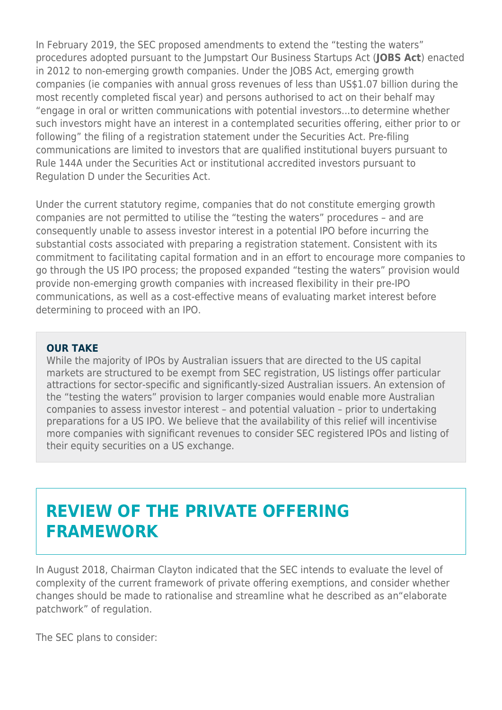In February 2019, the SEC proposed amendments to extend the "testing the waters" procedures adopted pursuant to the Jumpstart Our Business Startups Act (**JOBS Act**) enacted in 2012 to non-emerging growth companies. Under the JOBS Act, emerging growth companies (ie companies with annual gross revenues of less than US\$1.07 billion during the most recently completed fiscal year) and persons authorised to act on their behalf may "engage in oral or written communications with potential investors...to determine whether such investors might have an interest in a contemplated securities offering, either prior to or following" the filing of a registration statement under the Securities Act. Pre-filing communications are limited to investors that are qualified institutional buyers pursuant to Rule 144A under the Securities Act or institutional accredited investors pursuant to Regulation D under the Securities Act.

Under the current statutory regime, companies that do not constitute emerging growth companies are not permitted to utilise the "testing the waters" procedures – and are consequently unable to assess investor interest in a potential IPO before incurring the substantial costs associated with preparing a registration statement. Consistent with its commitment to facilitating capital formation and in an effort to encourage more companies to go through the US IPO process; the proposed expanded "testing the waters" provision would provide non-emerging growth companies with increased flexibility in their pre-IPO communications, as well as a cost-effective means of evaluating market interest before determining to proceed with an IPO.

#### **OUR TAKE**

While the majority of IPOs by Australian issuers that are directed to the US capital markets are structured to be exempt from SEC registration, US listings offer particular attractions for sector-specific and significantly-sized Australian issuers. An extension of the "testing the waters" provision to larger companies would enable more Australian companies to assess investor interest – and potential valuation – prior to undertaking preparations for a US IPO. We believe that the availability of this relief will incentivise more companies with significant revenues to consider SEC registered IPOs and listing of their equity securities on a US exchange.

### **REVIEW OF THE PRIVATE OFFERING FRAMEWORK**

In August 2018, Chairman Clayton indicated that the SEC intends to evaluate the level of complexity of the current framework of private offering exemptions, and consider whether changes should be made to rationalise and streamline what he described as an"elaborate patchwork" of regulation.

The SEC plans to consider: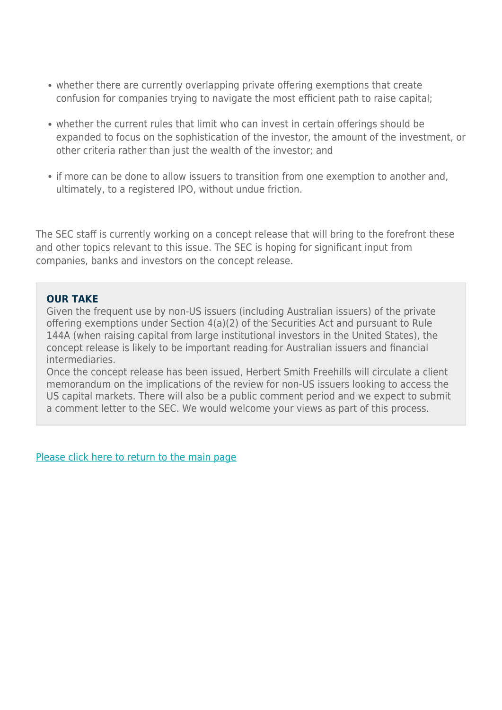- whether there are currently overlapping private offering exemptions that create confusion for companies trying to navigate the most efficient path to raise capital;
- whether the current rules that limit who can invest in certain offerings should be expanded to focus on the sophistication of the investor, the amount of the investment, or other criteria rather than just the wealth of the investor; and
- if more can be done to allow issuers to transition from one exemption to another and, ultimately, to a registered IPO, without undue friction.

The SEC staff is currently working on a concept release that will bring to the forefront these and other topics relevant to this issue. The SEC is hoping for significant input from companies, banks and investors on the concept release.

#### **OUR TAKE**

Given the frequent use by non-US issuers (including Australian issuers) of the private offering exemptions under Section 4(a)(2) of the Securities Act and pursuant to Rule 144A (when raising capital from large institutional investors in the United States), the concept release is likely to be important reading for Australian issuers and financial intermediaries.

Once the concept release has been issued, Herbert Smith Freehills will circulate a client memorandum on the implications of the review for non-US issuers looking to access the US capital markets. There will also be a public comment period and we expect to submit a comment letter to the SEC. We would welcome your views as part of this process.

[Please click here to return to the main page](https://www.herbertsmithfreehills.com/latest-thinking/ready-for-launch-the-2018-australian-ipo-review)